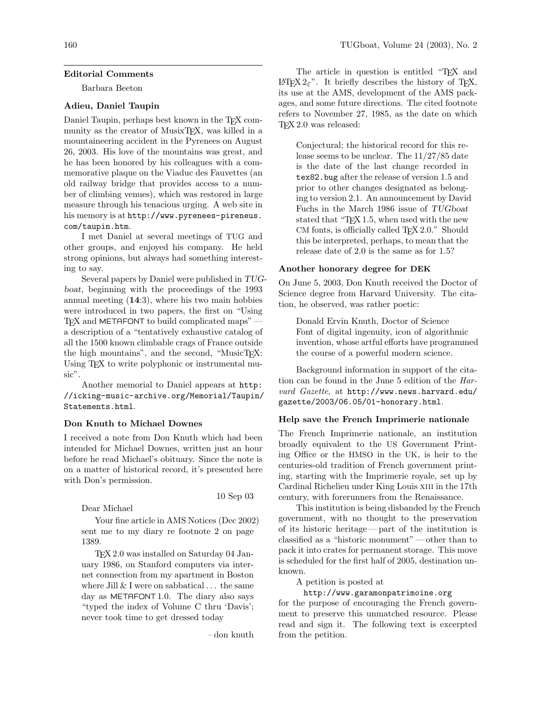### Editorial Comments

Barbara Beeton

# Adieu, Daniel Taupin

Daniel Taupin, perhaps best known in the T<sub>E</sub>X community as the creator of MusixTEX, was killed in a mountaineering accident in the Pyrenees on August 26, 2003. His love of the mountains was great, and he has been honored by his colleagues with a commemorative plaque on the Viaduc des Fauvettes (an old railway bridge that provides access to a number of climbing venues), which was restored in large measure through his tenacious urging. A web site in his memory is at [http://www.pyrenees-pireneus.](http://www.pyrenees-pireneus.com/taupin.htm) [com/taupin.htm](http://www.pyrenees-pireneus.com/taupin.htm).

I met Daniel at several meetings of TUG and other groups, and enjoyed his company. He held strong opinions, but always had something interesting to say.

Several papers by Daniel were published in TUGboat, beginning with the proceedings of the 1993 annual meeting (14:3), where his two main hobbies were introduced in two papers, the first on "Using TEX and METAFONT to build complicated maps" a description of a "tentatively exhaustive catalog of all the 1500 known climbable crags of France outside the high mountains", and the second, "MusicT<sub>EX</sub>: Using TEX to write polyphonic or instrumental music".

Another memorial to Daniel appears at [http:](http://icking-music-archive.org/Memorial/Taupin/Statements.html) [//icking-music-archive.org/Memorial/Taupin/](http://icking-music-archive.org/Memorial/Taupin/Statements.html) [Statements.html](http://icking-music-archive.org/Memorial/Taupin/Statements.html).

## Don Knuth to Michael Downes

I received a note from Don Knuth which had been intended for Michael Downes, written just an hour before he read Michael's obituary. Since the note is on a matter of historical record, it's presented here with Don's permission.

Dear Michael

Your fine article in AMS Notices (Dec 2002) sent me to my diary re footnote 2 on page 1389.

TEX 2.0 was installed on Saturday 04 January 1986, on Stanford computers via internet connection from my apartment in Boston where Jill  $& I$  were on sabbatical  $\ldots$  the same day as METAFONT 1.0. The diary also says "typed the index of Volume C thru 'Davis'; never took time to get dressed today

– don knuth

10 Sep 03

The article in question is entitled "TEX and L<sup>AT</sup>F<sub>X</sub> 2<sub>ε</sub>". It briefly describes the history of T<sub>F</sub>X, its use at the AMS, development of the AMS packages, and some future directions. The cited footnote refers to November 27, 1985, as the date on which TEX 2.0 was released:

Conjectural; the historical record for this release seems to be unclear. The 11/27/85 date is the date of the last change recorded in tex82.bug after the release of version 1.5 and prior to other changes designated as belonging to version 2.1. An announcement by David Fuchs in the March 1986 issue of TUGboat stated that "TEX 1.5, when used with the new CM fonts, is officially called TFX 2.0." Should this be interpreted, perhaps, to mean that the release date of 2.0 is the same as for 1.5?

#### Another honorary degree for DEK

On June 5, 2003, Don Knuth received the Doctor of Science degree from Harvard University. The citation, he observed, was rather poetic:

Donald Ervin Knuth, Doctor of Science Font of digital ingenuity, icon of algorithmic invention, whose artful efforts have programmed the course of a powerful modern science.

Background information in support of the citation can be found in the June 5 edition of the Harvard Gazette, at [http://www.news.harvard.edu/](http://www.news.harvard.edu/gazette/2003/06.05/01-honorary.html) [gazette/2003/06.05/01-honorary.html](http://www.news.harvard.edu/gazette/2003/06.05/01-honorary.html).

#### Help save the French Imprimerie nationale

The French Imprimerie nationale, an institution broadly equivalent to the US Government Printing Office or the HMSO in the UK, is heir to the centuries-old tradition of French government printing, starting with the Imprimerie royale, set up by Cardinal Richelieu under King Louis xiii in the 17th century, with forerunners from the Renaissance.

This institution is being disbanded by the French government, with no thought to the preservation of its historic heritage — part of the institution is classified as a "historic monument"— other than to pack it into crates for permanent storage. This move is scheduled for the first half of 2005, destination unknown.

A petition is posted at

<http://www.garamonpatrimoine.org> for the purpose of encouraging the French government to preserve this unmatched resource. Please read and sign it. The following text is excerpted from the petition.